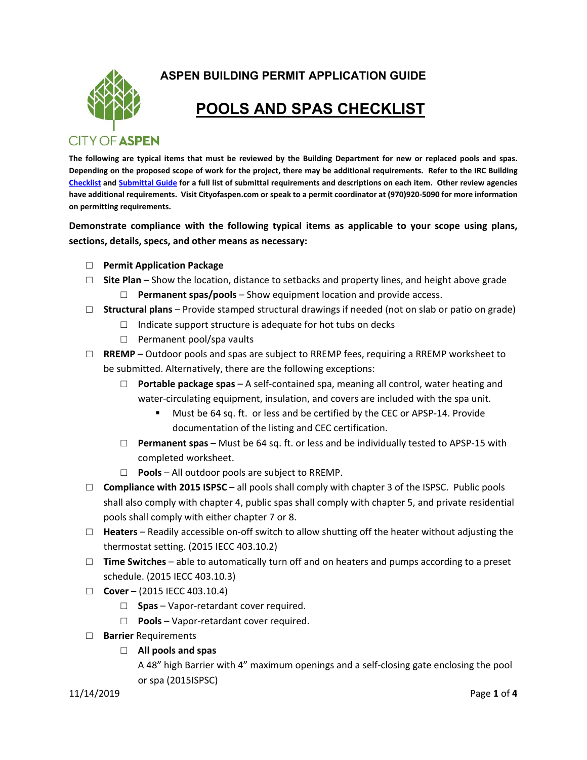

**ASPEN BUILDING PERMIT APPLICATION GUIDE** 

## **POOLS AND SPAS CHECKLIST**

**The following are typical items that must be reviewed by the Building Department for new or replaced pools and spas. Depending on the proposed scope of work for the project, there may be additional requirements. Refer to the IRC Building Checklist and Submittal Guide for a full list of submittal requirements and descriptions on each item. Other review agencies have additional requirements. Visit Cityofaspen.com or speak to a permit coordinator at (970)920‐5090 for more information on permitting requirements.** 

**Demonstrate compliance with the following typical items as applicable to your scope using plans, sections, details, specs, and other means as necessary:** 

- □ **Permit Application Package**
- □ **Site Plan** Show the location, distance to setbacks and property lines, and height above grade
	- □ **Permanent spas/pools**  Show equipment location and provide access.
- □ **Structural plans**  Provide stamped structural drawings if needed (not on slab or patio on grade)
	- $\Box$  Indicate support structure is adequate for hot tubs on decks
	- □ Permanent pool/spa vaults
- □ **RREMP** Outdoor pools and spas are subject to RREMP fees, requiring a RREMP worksheet to be submitted. Alternatively, there are the following exceptions:
	- □ **Portable package spas**  A self‐contained spa, meaning all control, water heating and water-circulating equipment, insulation, and covers are included with the spa unit.
		- Must be 64 sq. ft. or less and be certified by the CEC or APSP‐14. Provide documentation of the listing and CEC certification.
	- □ **Permanent spas** Must be 64 sq. ft. or less and be individually tested to APSP‐15 with completed worksheet.
	- □ **Pools**  All outdoor pools are subject to RREMP.
- □ **Compliance with 2015 ISPSC** all pools shall comply with chapter 3 of the ISPSC. Public pools shall also comply with chapter 4, public spas shall comply with chapter 5, and private residential pools shall comply with either chapter 7 or 8.
- □ **Heaters**  Readily accessible on‐off switch to allow shutting off the heater without adjusting the thermostat setting. (2015 IECC 403.10.2)
- □ **Time Switches**  able to automatically turn off and on heaters and pumps according to a preset schedule. (2015 IECC 403.10.3)
- □ **Cover** (2015 IECC 403.10.4)
	- □ **Spas** Vapor-retardant cover required.
	- □ **Pools**  Vapor‐retardant cover required.
- □ **Barrier** Requirements
	- □ **All pools and spas**

A 48" high Barrier with 4" maximum openings and a self‐closing gate enclosing the pool or spa (2015ISPSC)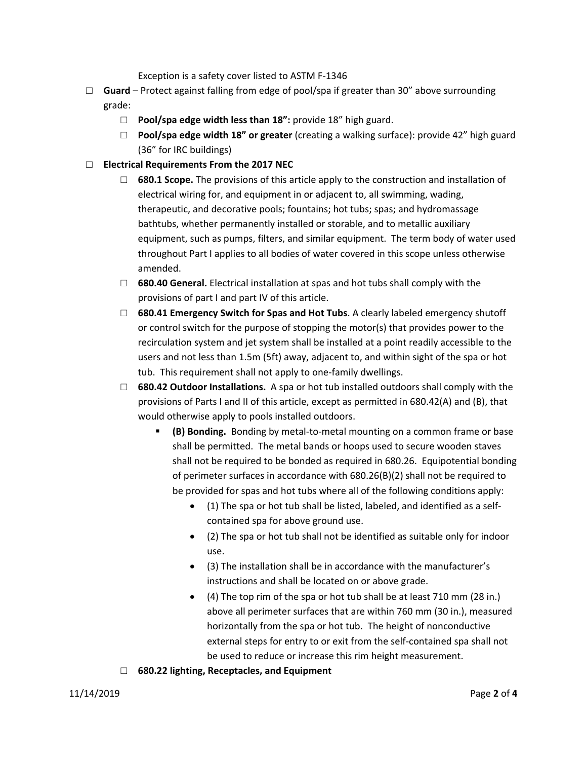Exception is a safety cover listed to ASTM F‐1346

- □ **Guard** Protect against falling from edge of pool/spa if greater than 30" above surrounding grade:
	- □ **Pool/spa edge width less than 18":** provide 18" high guard.
	- □ **Pool/spa edge width 18" or greater** (creating a walking surface): provide 42" high guard (36" for IRC buildings)
- □ **Electrical Requirements From the 2017 NEC**
	- □ **680.1 Scope.** The provisions of this article apply to the construction and installation of electrical wiring for, and equipment in or adjacent to, all swimming, wading, therapeutic, and decorative pools; fountains; hot tubs; spas; and hydromassage bathtubs, whether permanently installed or storable, and to metallic auxiliary equipment, such as pumps, filters, and similar equipment. The term body of water used throughout Part I applies to all bodies of water covered in this scope unless otherwise amended.
	- □ **680.40 General.** Electrical installation at spas and hot tubs shall comply with the provisions of part I and part IV of this article.
	- □ **680.41 Emergency Switch for Spas and Hot Tubs**. A clearly labeled emergency shutoff or control switch for the purpose of stopping the motor(s) that provides power to the recirculation system and jet system shall be installed at a point readily accessible to the users and not less than 1.5m (5ft) away, adjacent to, and within sight of the spa or hot tub. This requirement shall not apply to one‐family dwellings.
	- □ **680.42 Outdoor Installations.**  A spa or hot tub installed outdoors shall comply with the provisions of Parts I and II of this article, except as permitted in 680.42(A) and (B), that would otherwise apply to pools installed outdoors.
		- **(B) Bonding.** Bonding by metal‐to‐metal mounting on a common frame or base shall be permitted. The metal bands or hoops used to secure wooden staves shall not be required to be bonded as required in 680.26. Equipotential bonding of perimeter surfaces in accordance with 680.26(B)(2) shall not be required to be provided for spas and hot tubs where all of the following conditions apply:
			- (1) The spa or hot tub shall be listed, labeled, and identified as a self‐ contained spa for above ground use.
			- (2) The spa or hot tub shall not be identified as suitable only for indoor use.
			- (3) The installation shall be in accordance with the manufacturer's instructions and shall be located on or above grade.
			- (4) The top rim of the spa or hot tub shall be at least 710 mm (28 in.) above all perimeter surfaces that are within 760 mm (30 in.), measured horizontally from the spa or hot tub. The height of nonconductive external steps for entry to or exit from the self‐contained spa shall not be used to reduce or increase this rim height measurement.
	- □ **680.22 lighting, Receptacles, and Equipment**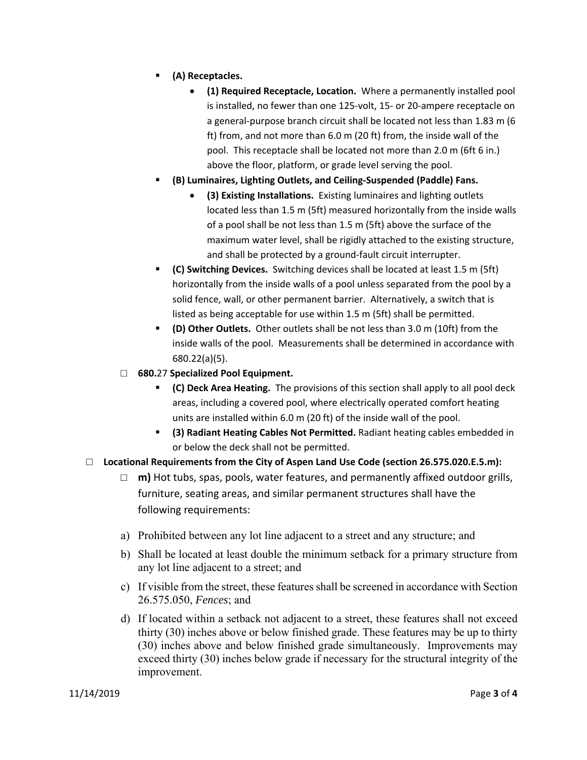- **(A) Receptacles.**
	- **(1) Required Receptacle, Location.** Where a permanently installed pool is installed, no fewer than one 125‐volt, 15‐ or 20‐ampere receptacle on a general-purpose branch circuit shall be located not less than 1.83 m (6 ft) from, and not more than 6.0 m (20 ft) from, the inside wall of the pool. This receptacle shall be located not more than 2.0 m (6ft 6 in.) above the floor, platform, or grade level serving the pool.
- **(B) Luminaires, Lighting Outlets, and Ceiling‐Suspended (Paddle) Fans.**
	- **(3) Existing Installations.** Existing luminaires and lighting outlets located less than 1.5 m (5ft) measured horizontally from the inside walls of a pool shall be not less than 1.5 m (5ft) above the surface of the maximum water level, shall be rigidly attached to the existing structure, and shall be protected by a ground‐fault circuit interrupter.
- **(C) Switching Devices.** Switching devices shall be located at least 1.5 m (5ft) horizontally from the inside walls of a pool unless separated from the pool by a solid fence, wall, or other permanent barrier. Alternatively, a switch that is listed as being acceptable for use within 1.5 m (5ft) shall be permitted.
- **(D) Other Outlets.** Other outlets shall be not less than 3.0 m (10ft) from the inside walls of the pool. Measurements shall be determined in accordance with 680.22(a)(5).
- □ **680.**27 **Specialized Pool Equipment.**
	- **(C) Deck Area Heating.** The provisions of this section shall apply to all pool deck areas, including a covered pool, where electrically operated comfort heating units are installed within 6.0 m (20 ft) of the inside wall of the pool.
	- **(3) Radiant Heating Cables Not Permitted.** Radiant heating cables embedded in or below the deck shall not be permitted.
- □ **Locational Requirements from the City of Aspen Land Use Code (section 26.575.020.E.5.m):**
	- $\Box$  **m**) Hot tubs, spas, pools, water features, and permanently affixed outdoor grills, furniture, seating areas, and similar permanent structures shall have the following requirements:
	- a) Prohibited between any lot line adjacent to a street and any structure; and
	- b) Shall be located at least double the minimum setback for a primary structure from any lot line adjacent to a street; and
	- c) If visible from the street, these features shall be screened in accordance with Section 26.575.050, *Fences*; and
	- d) If located within a setback not adjacent to a street, these features shall not exceed thirty (30) inches above or below finished grade. These features may be up to thirty (30) inches above and below finished grade simultaneously. Improvements may exceed thirty (30) inches below grade if necessary for the structural integrity of the improvement.